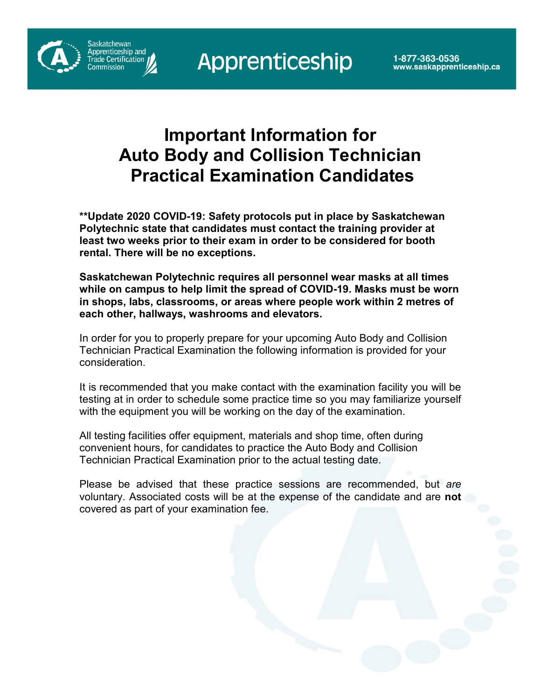Saskatchewan<br>Apprenticeship and

rade Certification



**\*\*Update 2020 COVID-19: Safety protocols put in place by Saskatchewan Polytechnic state that candidates must contact the training provider at least two weeks prior to their exam in order to be considered for booth rental. There will be no exceptions.** 

**Saskatchewan Polytechnic requires all personnel wear masks at all times while on campus to help limit the spread of COVID-19. Masks must be worn in shops, labs, classrooms, or areas where people work within 2 metres of each other, hallways, washrooms and elevators.** 

In order for you to properly prepare for your upcoming Auto Body and Collision Technician Practical Examination the following information is provided for your consideration.

It is recommended that you make contact with the examination facility you will be testing at in order to schedule some practice time so you may familiarize yourself with the equipment you will be working on the day of the examination.

All testing facilities offer equipment, materials and shop time, often during convenient hours, for candidates to practice the Auto Body and Collision Technician Practical Examination prior to the actual testing date.

Please be advised that these practice sessions are recommended, but *are* voluntary. Associated costs will be at the expense of the candidate and are **not** covered as part of your examination fee.